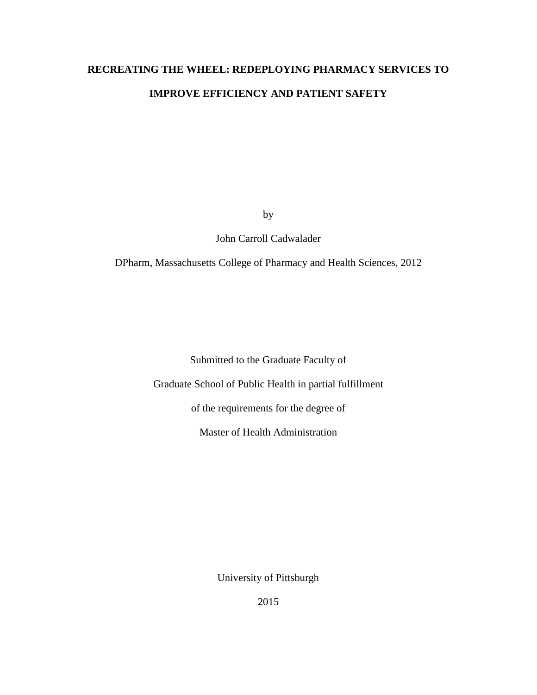# **RECREATING THE WHEEL: REDEPLOYING PHARMACY SERVICES TO IMPROVE EFFICIENCY AND PATIENT SAFETY**

by

John Carroll Cadwalader

DPharm, Massachusetts College of Pharmacy and Health Sciences, 2012

Submitted to the Graduate Faculty of

Graduate School of Public Health in partial fulfillment

of the requirements for the degree of

Master of Health Administration

University of Pittsburgh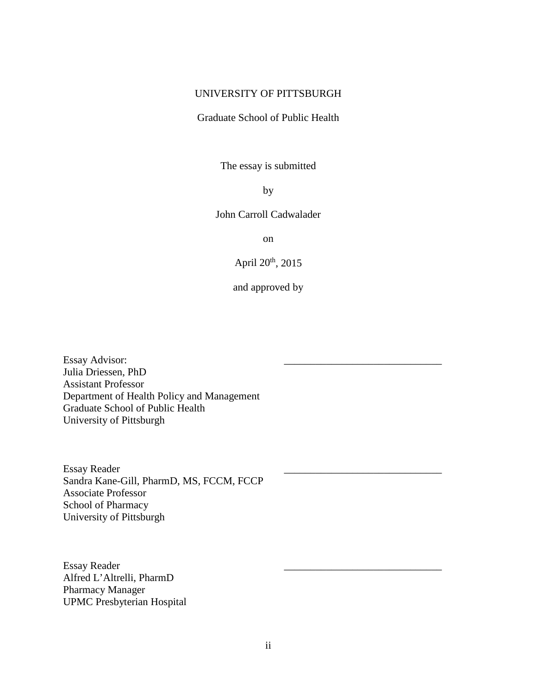### UNIVERSITY OF PITTSBURGH

### Graduate School of Public Health

The essay is submitted

by

### John Carroll Cadwalader

on

April 20th, 2015

and approved by

Essay Advisor: Julia Driessen, PhD Assistant Professor Department of Health Policy and Management Graduate School of Public Health University of Pittsburgh

Essay Reader \_\_\_\_\_\_\_\_\_\_\_\_\_\_\_\_\_\_\_\_\_\_\_\_\_\_\_\_\_\_ Sandra Kane-Gill, PharmD, MS, FCCM, FCCP Associate Professor School of Pharmacy University of Pittsburgh

Essay Reader Alfred L'Altrelli, PharmD Pharmacy Manager UPMC Presbyterian Hospital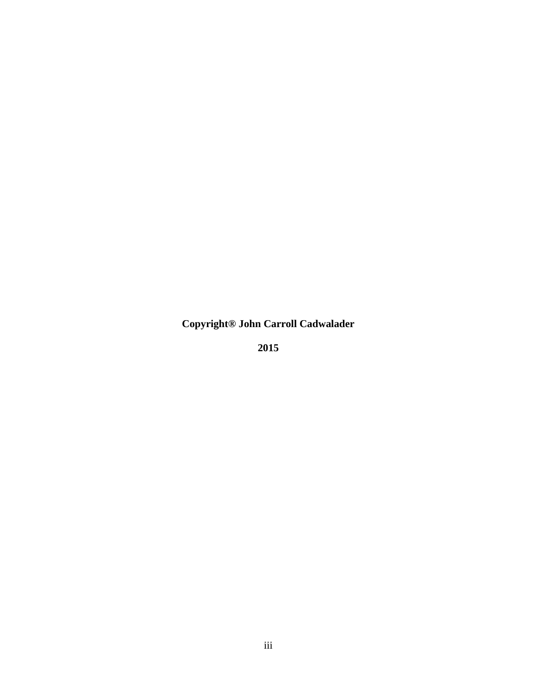**Copyright® John Carroll Cadwalader**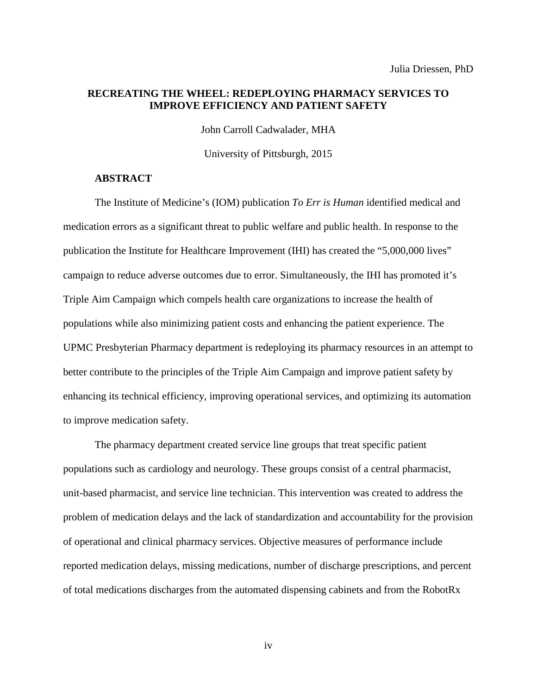### **RECREATING THE WHEEL: REDEPLOYING PHARMACY SERVICES TO IMPROVE EFFICIENCY AND PATIENT SAFETY**

John Carroll Cadwalader, MHA

University of Pittsburgh, 2015

### **ABSTRACT**

The Institute of Medicine's (IOM) publication *To Err is Human* identified medical and medication errors as a significant threat to public welfare and public health. In response to the publication the Institute for Healthcare Improvement (IHI) has created the "5,000,000 lives" campaign to reduce adverse outcomes due to error. Simultaneously, the IHI has promoted it's Triple Aim Campaign which compels health care organizations to increase the health of populations while also minimizing patient costs and enhancing the patient experience. The UPMC Presbyterian Pharmacy department is redeploying its pharmacy resources in an attempt to better contribute to the principles of the Triple Aim Campaign and improve patient safety by enhancing its technical efficiency, improving operational services, and optimizing its automation to improve medication safety.

The pharmacy department created service line groups that treat specific patient populations such as cardiology and neurology. These groups consist of a central pharmacist, unit-based pharmacist, and service line technician. This intervention was created to address the problem of medication delays and the lack of standardization and accountability for the provision of operational and clinical pharmacy services. Objective measures of performance include reported medication delays, missing medications, number of discharge prescriptions, and percent of total medications discharges from the automated dispensing cabinets and from the RobotRx

iv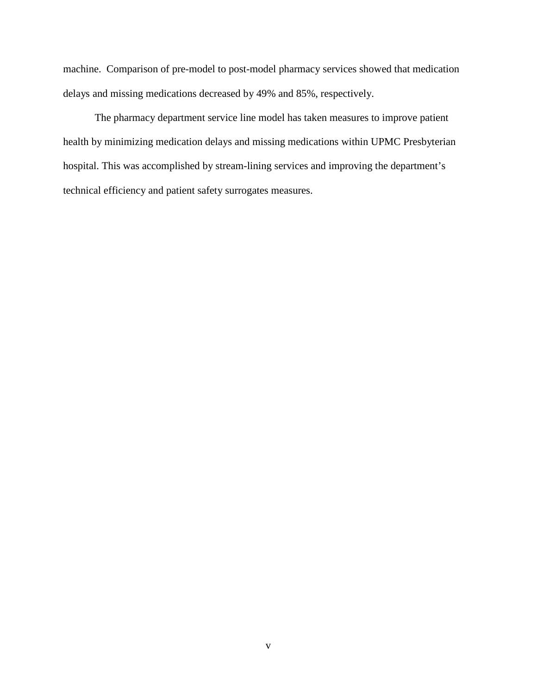machine. Comparison of pre-model to post-model pharmacy services showed that medication delays and missing medications decreased by 49% and 85%, respectively.

The pharmacy department service line model has taken measures to improve patient health by minimizing medication delays and missing medications within UPMC Presbyterian hospital. This was accomplished by stream-lining services and improving the department's technical efficiency and patient safety surrogates measures.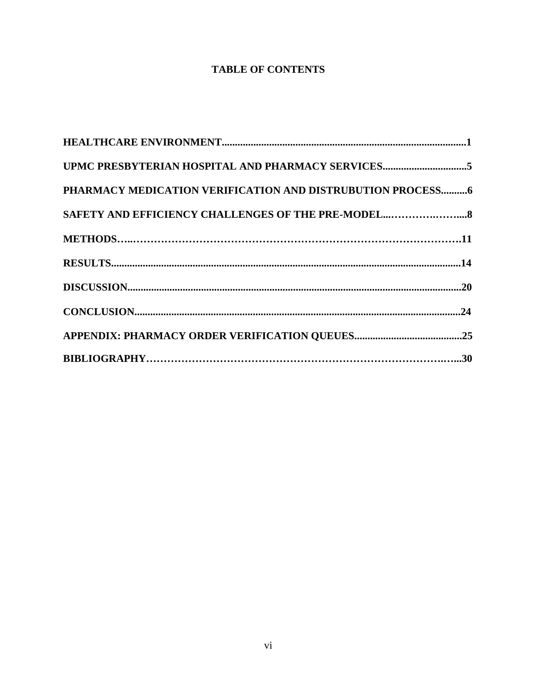# **TABLE OF CONTENTS**

| UPMC PRESBYTERIAN HOSPITAL AND PHARMACY SERVICES5           |
|-------------------------------------------------------------|
| PHARMACY MEDICATION VERIFICATION AND DISTRUBUTION PROCESS 6 |
|                                                             |
|                                                             |
|                                                             |
|                                                             |
|                                                             |
|                                                             |
|                                                             |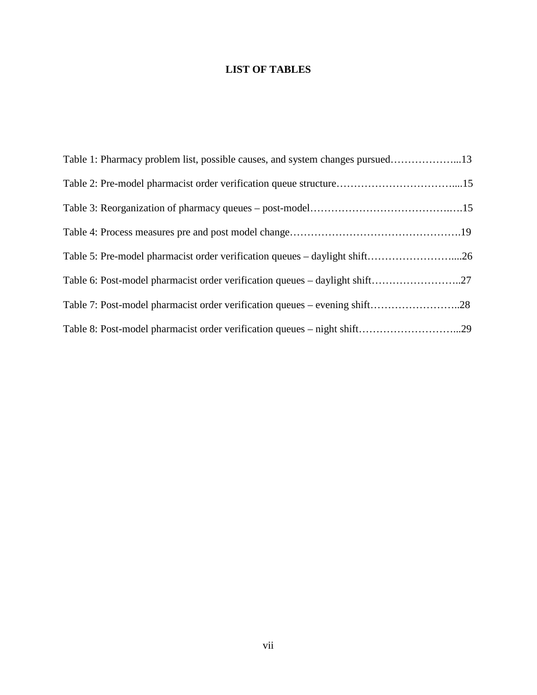# **LIST OF TABLES**

| Table 1: Pharmacy problem list, possible causes, and system changes pursued13 |  |
|-------------------------------------------------------------------------------|--|
| Table 2: Pre-model pharmacist order verification queue structure15            |  |
|                                                                               |  |
|                                                                               |  |
| Table 5: Pre-model pharmacist order verification queues – daylight shift26    |  |
| Table 6: Post-model pharmacist order verification queues – daylight shift27   |  |
| Table 7: Post-model pharmacist order verification queues – evening shift28    |  |
| Table 8: Post-model pharmacist order verification queues – night shift29      |  |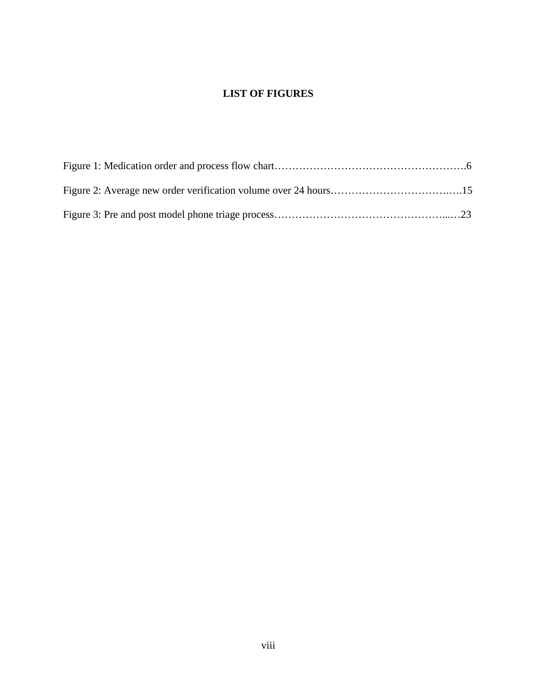# **LIST OF FIGURES**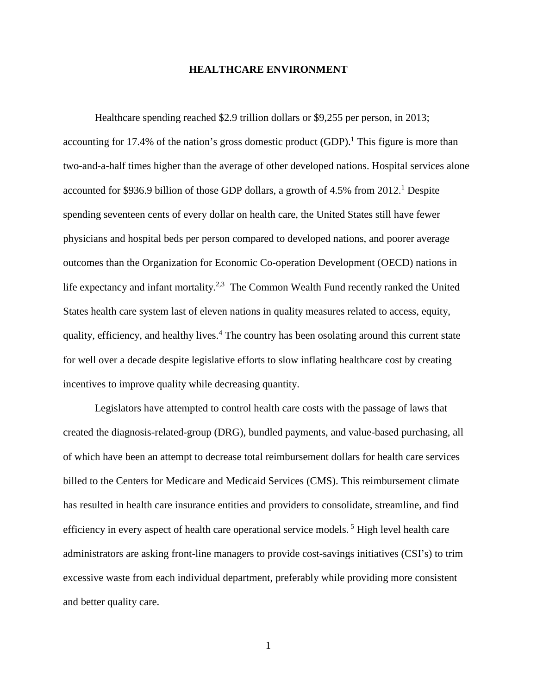#### **HEALTHCARE ENVIRONMENT**

Healthcare spending reached \$2.9 trillion dollars or \$9,255 per person, in 2013; accounting for 17.4% of the nation's gross domestic product  $(GDP)$ . This figure is more than two-and-a-half times higher than the average of other developed nations. Hospital services alone accounted for \$936.9 billion of those GDP dollars, a growth of 4.5% from 2012.<sup>1</sup> Despite spending seventeen cents of every dollar on health care, the United States still have fewer physicians and hospital beds per person compared to developed nations, and poorer average outcomes than the Organization for Economic Co-operation Development (OECD) nations in life expectancy and infant mortality.<sup>2,3</sup> The Common Wealth Fund recently ranked the United States health care system last of eleven nations in quality measures related to access, equity, quality, efficiency, and healthy lives.<sup>4</sup> The country has been osolating around this current state for well over a decade despite legislative efforts to slow inflating healthcare cost by creating incentives to improve quality while decreasing quantity.

Legislators have attempted to control health care costs with the passage of laws that created the diagnosis-related-group (DRG), bundled payments, and value-based purchasing, all of which have been an attempt to decrease total reimbursement dollars for health care services billed to the Centers for Medicare and Medicaid Services (CMS). This reimbursement climate has resulted in health care insurance entities and providers to consolidate, streamline, and find efficiency in every aspect of health care operational service models.<sup>5</sup> High level health care administrators are asking front-line managers to provide cost-savings initiatives (CSI's) to trim excessive waste from each individual department, preferably while providing more consistent and better quality care.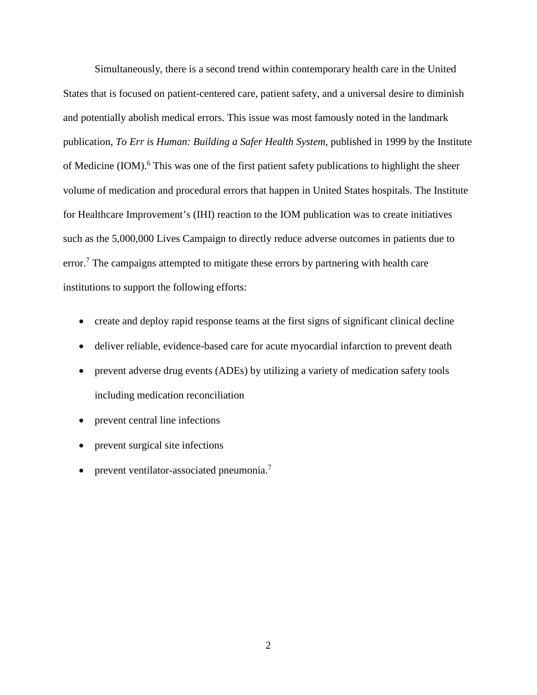Simultaneously, there is a second trend within contemporary health care in the United States that is focused on patient-centered care, patient safety, and a universal desire to diminish and potentially abolish medical errors. This issue was most famously noted in the landmark publication, *To Err is Human: Building a Safer Health System*, published in 1999 by the Institute of Medicine (IOM).<sup>6</sup> This was one of the first patient safety publications to highlight the sheer volume of medication and procedural errors that happen in United States hospitals. The Institute for Healthcare Improvement's (IHI) reaction to the IOM publication was to create initiatives such as the 5,000,000 Lives Campaign to directly reduce adverse outcomes in patients due to  $error<sup>7</sup>$ . The campaigns attempted to mitigate these errors by partnering with health care institutions to support the following efforts:

- create and deploy rapid response teams at the first signs of significant clinical decline
- deliver reliable, evidence-based care for acute myocardial infarction to prevent death
- prevent adverse drug events (ADEs) by utilizing a variety of medication safety tools including medication reconciliation
- prevent central line infections
- prevent surgical site infections
- prevent ventilator-associated pneumonia.<sup>7</sup>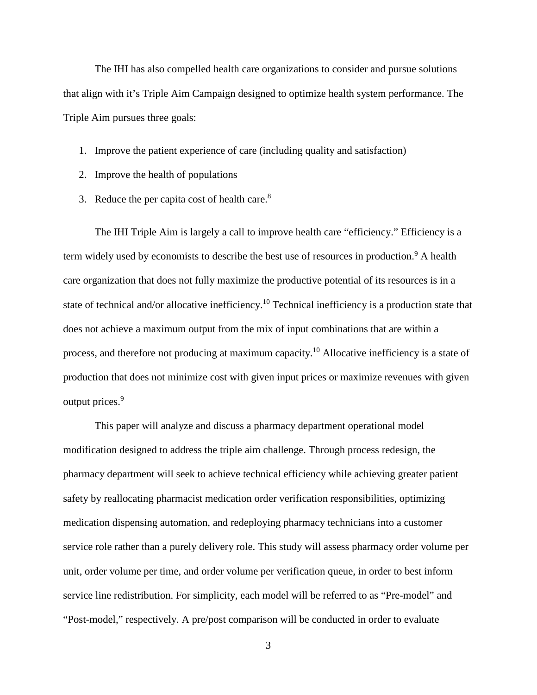The IHI has also compelled health care organizations to consider and pursue solutions that align with it's Triple Aim Campaign designed to optimize health system performance. The Triple Aim pursues three goals:

- 1. Improve the patient experience of care (including quality and satisfaction)
- 2. Improve the health of populations
- 3. Reduce the per capita cost of health care.<sup>8</sup>

The IHI Triple Aim is largely a call to improve health care "efficiency." Efficiency is a term widely used by economists to describe the best use of resources in production.<sup>9</sup> A health care organization that does not fully maximize the productive potential of its resources is in a state of technical and/or allocative inefficiency.<sup>10</sup> Technical inefficiency is a production state that does not achieve a maximum output from the mix of input combinations that are within a process, and therefore not producing at maximum capacity.<sup>10</sup> Allocative inefficiency is a state of production that does not minimize cost with given input prices or maximize revenues with given output prices.<sup>9</sup>

This paper will analyze and discuss a pharmacy department operational model modification designed to address the triple aim challenge. Through process redesign, the pharmacy department will seek to achieve technical efficiency while achieving greater patient safety by reallocating pharmacist medication order verification responsibilities, optimizing medication dispensing automation, and redeploying pharmacy technicians into a customer service role rather than a purely delivery role. This study will assess pharmacy order volume per unit, order volume per time, and order volume per verification queue, in order to best inform service line redistribution. For simplicity, each model will be referred to as "Pre-model" and "Post-model," respectively. A pre/post comparison will be conducted in order to evaluate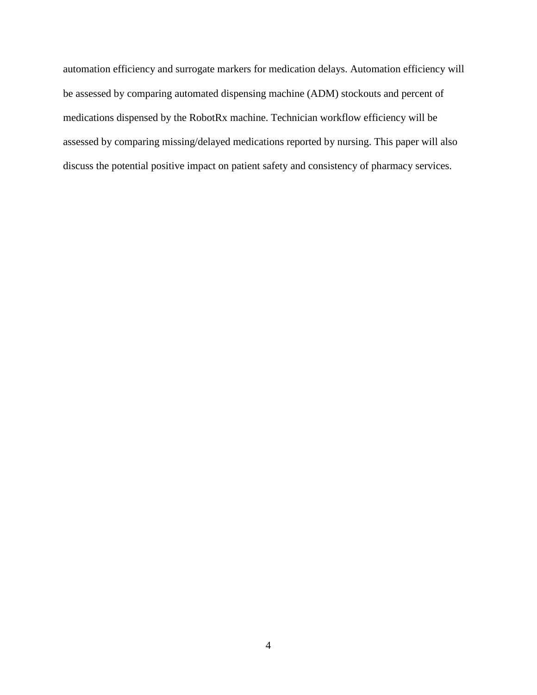automation efficiency and surrogate markers for medication delays. Automation efficiency will be assessed by comparing automated dispensing machine (ADM) stockouts and percent of medications dispensed by the RobotRx machine. Technician workflow efficiency will be assessed by comparing missing/delayed medications reported by nursing. This paper will also discuss the potential positive impact on patient safety and consistency of pharmacy services.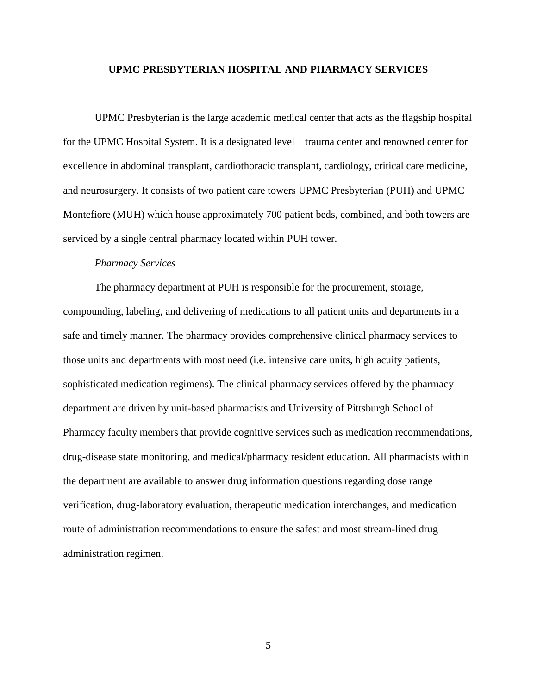#### **UPMC PRESBYTERIAN HOSPITAL AND PHARMACY SERVICES**

UPMC Presbyterian is the large academic medical center that acts as the flagship hospital for the UPMC Hospital System. It is a designated level 1 trauma center and renowned center for excellence in abdominal transplant, cardiothoracic transplant, cardiology, critical care medicine, and neurosurgery. It consists of two patient care towers UPMC Presbyterian (PUH) and UPMC Montefiore (MUH) which house approximately 700 patient beds, combined, and both towers are serviced by a single central pharmacy located within PUH tower.

### *Pharmacy Services*

The pharmacy department at PUH is responsible for the procurement, storage, compounding, labeling, and delivering of medications to all patient units and departments in a safe and timely manner. The pharmacy provides comprehensive clinical pharmacy services to those units and departments with most need (i.e. intensive care units, high acuity patients, sophisticated medication regimens). The clinical pharmacy services offered by the pharmacy department are driven by unit-based pharmacists and University of Pittsburgh School of Pharmacy faculty members that provide cognitive services such as medication recommendations, drug-disease state monitoring, and medical/pharmacy resident education. All pharmacists within the department are available to answer drug information questions regarding dose range verification, drug-laboratory evaluation, therapeutic medication interchanges, and medication route of administration recommendations to ensure the safest and most stream-lined drug administration regimen.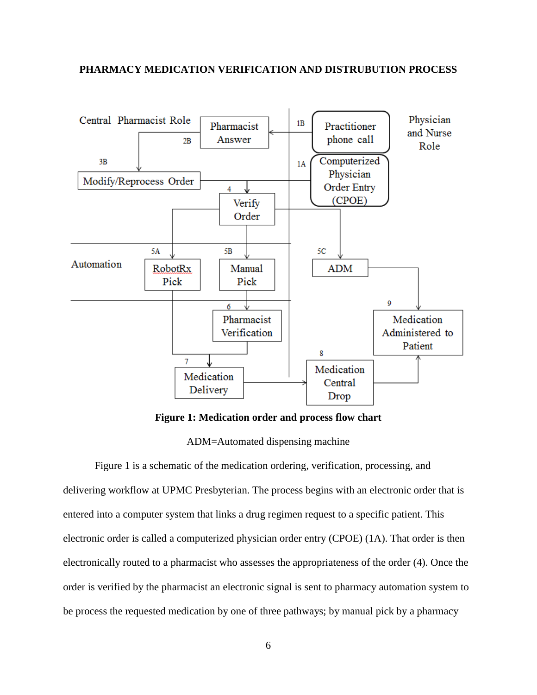### **PHARMACY MEDICATION VERIFICATION AND DISTRUBUTION PROCESS**



**Figure 1: Medication order and process flow chart**

ADM=Automated dispensing machine

Figure 1 is a schematic of the medication ordering, verification, processing, and delivering workflow at UPMC Presbyterian. The process begins with an electronic order that is entered into a computer system that links a drug regimen request to a specific patient. This electronic order is called a computerized physician order entry (CPOE) (1A). That order is then electronically routed to a pharmacist who assesses the appropriateness of the order (4). Once the order is verified by the pharmacist an electronic signal is sent to pharmacy automation system to be process the requested medication by one of three pathways; by manual pick by a pharmacy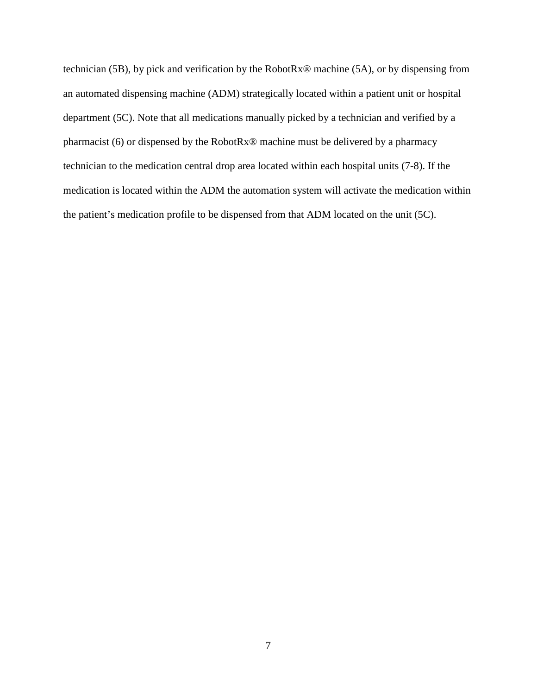technician (5B), by pick and verification by the RobotRx® machine (5A), or by dispensing from an automated dispensing machine (ADM) strategically located within a patient unit or hospital department (5C). Note that all medications manually picked by a technician and verified by a pharmacist (6) or dispensed by the RobotRx® machine must be delivered by a pharmacy technician to the medication central drop area located within each hospital units (7-8). If the medication is located within the ADM the automation system will activate the medication within the patient's medication profile to be dispensed from that ADM located on the unit (5C).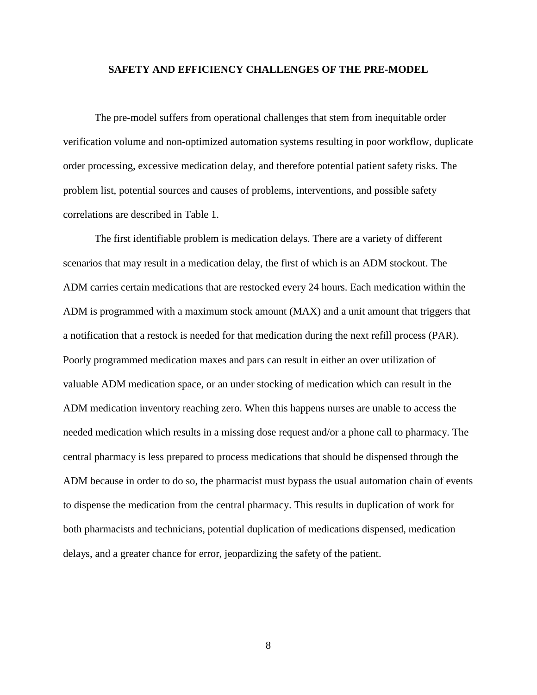### **SAFETY AND EFFICIENCY CHALLENGES OF THE PRE-MODEL**

The pre-model suffers from operational challenges that stem from inequitable order verification volume and non-optimized automation systems resulting in poor workflow, duplicate order processing, excessive medication delay, and therefore potential patient safety risks. The problem list, potential sources and causes of problems, interventions, and possible safety correlations are described in Table 1.

The first identifiable problem is medication delays. There are a variety of different scenarios that may result in a medication delay, the first of which is an ADM stockout. The ADM carries certain medications that are restocked every 24 hours. Each medication within the ADM is programmed with a maximum stock amount (MAX) and a unit amount that triggers that a notification that a restock is needed for that medication during the next refill process (PAR). Poorly programmed medication maxes and pars can result in either an over utilization of valuable ADM medication space, or an under stocking of medication which can result in the ADM medication inventory reaching zero. When this happens nurses are unable to access the needed medication which results in a missing dose request and/or a phone call to pharmacy. The central pharmacy is less prepared to process medications that should be dispensed through the ADM because in order to do so, the pharmacist must bypass the usual automation chain of events to dispense the medication from the central pharmacy. This results in duplication of work for both pharmacists and technicians, potential duplication of medications dispensed, medication delays, and a greater chance for error, jeopardizing the safety of the patient.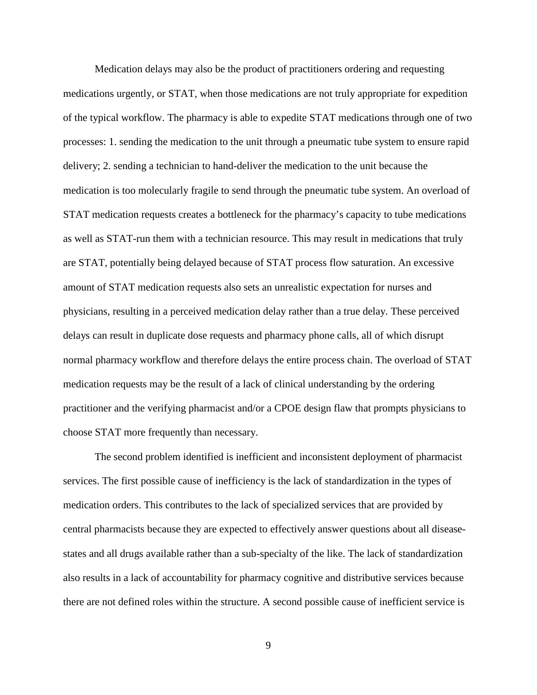Medication delays may also be the product of practitioners ordering and requesting medications urgently, or STAT, when those medications are not truly appropriate for expedition of the typical workflow. The pharmacy is able to expedite STAT medications through one of two processes: 1. sending the medication to the unit through a pneumatic tube system to ensure rapid delivery; 2. sending a technician to hand-deliver the medication to the unit because the medication is too molecularly fragile to send through the pneumatic tube system. An overload of STAT medication requests creates a bottleneck for the pharmacy's capacity to tube medications as well as STAT-run them with a technician resource. This may result in medications that truly are STAT, potentially being delayed because of STAT process flow saturation. An excessive amount of STAT medication requests also sets an unrealistic expectation for nurses and physicians, resulting in a perceived medication delay rather than a true delay. These perceived delays can result in duplicate dose requests and pharmacy phone calls, all of which disrupt normal pharmacy workflow and therefore delays the entire process chain. The overload of STAT medication requests may be the result of a lack of clinical understanding by the ordering practitioner and the verifying pharmacist and/or a CPOE design flaw that prompts physicians to choose STAT more frequently than necessary.

The second problem identified is inefficient and inconsistent deployment of pharmacist services. The first possible cause of inefficiency is the lack of standardization in the types of medication orders. This contributes to the lack of specialized services that are provided by central pharmacists because they are expected to effectively answer questions about all diseasestates and all drugs available rather than a sub-specialty of the like. The lack of standardization also results in a lack of accountability for pharmacy cognitive and distributive services because there are not defined roles within the structure. A second possible cause of inefficient service is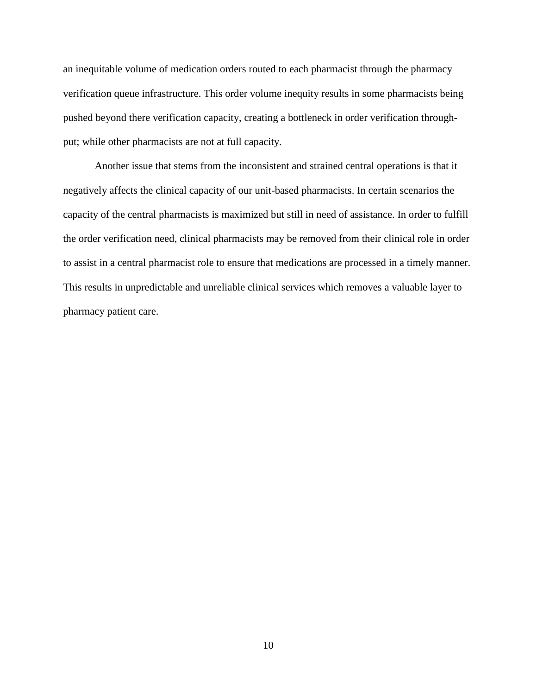an inequitable volume of medication orders routed to each pharmacist through the pharmacy verification queue infrastructure. This order volume inequity results in some pharmacists being pushed beyond there verification capacity, creating a bottleneck in order verification throughput; while other pharmacists are not at full capacity.

Another issue that stems from the inconsistent and strained central operations is that it negatively affects the clinical capacity of our unit-based pharmacists. In certain scenarios the capacity of the central pharmacists is maximized but still in need of assistance. In order to fulfill the order verification need, clinical pharmacists may be removed from their clinical role in order to assist in a central pharmacist role to ensure that medications are processed in a timely manner. This results in unpredictable and unreliable clinical services which removes a valuable layer to pharmacy patient care.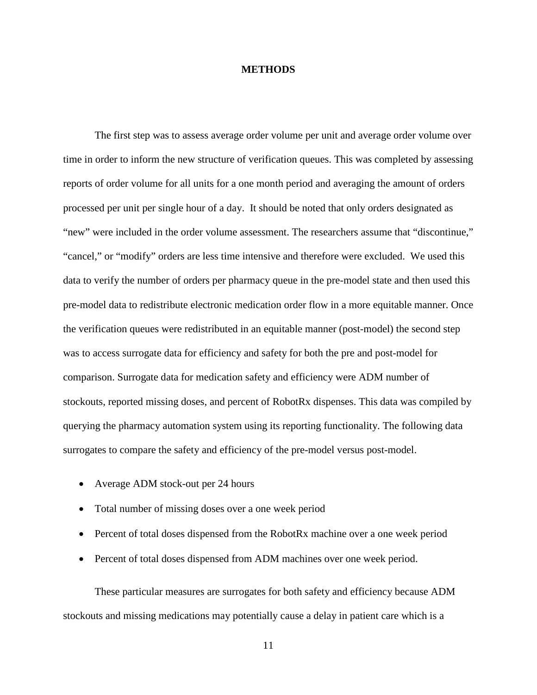### **METHODS**

The first step was to assess average order volume per unit and average order volume over time in order to inform the new structure of verification queues. This was completed by assessing reports of order volume for all units for a one month period and averaging the amount of orders processed per unit per single hour of a day. It should be noted that only orders designated as "new" were included in the order volume assessment. The researchers assume that "discontinue," "cancel," or "modify" orders are less time intensive and therefore were excluded. We used this data to verify the number of orders per pharmacy queue in the pre-model state and then used this pre-model data to redistribute electronic medication order flow in a more equitable manner. Once the verification queues were redistributed in an equitable manner (post-model) the second step was to access surrogate data for efficiency and safety for both the pre and post-model for comparison. Surrogate data for medication safety and efficiency were ADM number of stockouts, reported missing doses, and percent of RobotRx dispenses. This data was compiled by querying the pharmacy automation system using its reporting functionality. The following data surrogates to compare the safety and efficiency of the pre-model versus post-model.

- Average ADM stock-out per 24 hours
- Total number of missing doses over a one week period
- Percent of total doses dispensed from the RobotRx machine over a one week period
- Percent of total doses dispensed from ADM machines over one week period.

These particular measures are surrogates for both safety and efficiency because ADM stockouts and missing medications may potentially cause a delay in patient care which is a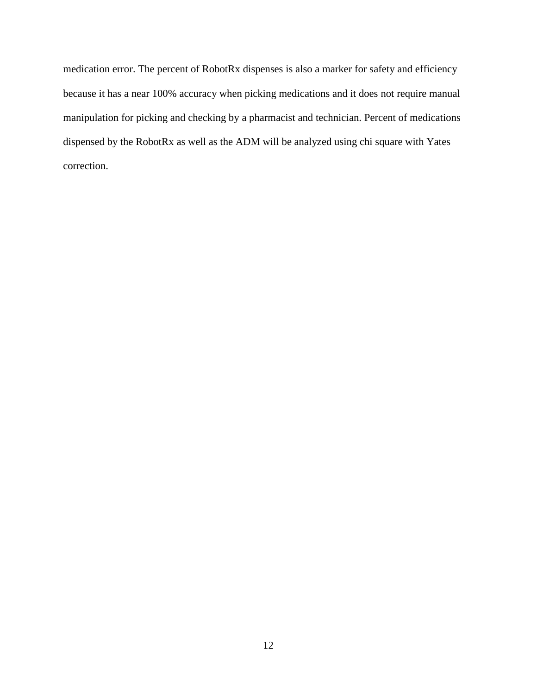medication error. The percent of RobotRx dispenses is also a marker for safety and efficiency because it has a near 100% accuracy when picking medications and it does not require manual manipulation for picking and checking by a pharmacist and technician. Percent of medications dispensed by the RobotRx as well as the ADM will be analyzed using chi square with Yates correction.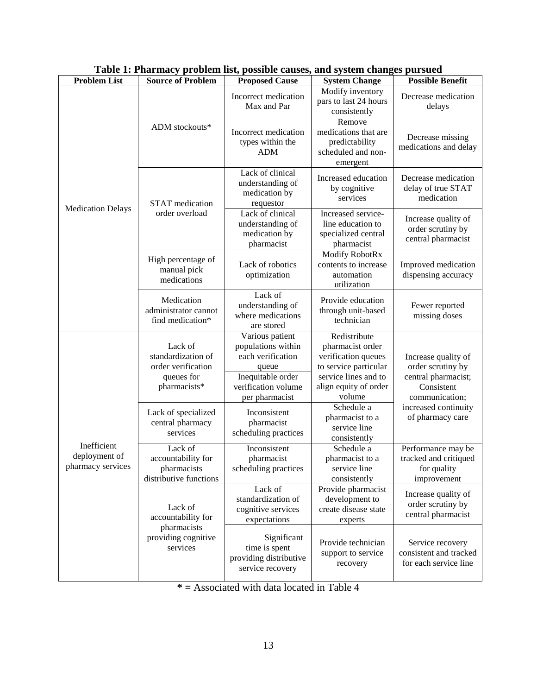| <b>Problem List</b>                               | <b>Source of Problem</b>                                                          | numerum properties into popping causes, and specific chain<br><b>Proposed Cause</b>                                               | <b>System Change</b>                                                                                                                        | ,<br><b>Possible Benefit</b>                                                                    |
|---------------------------------------------------|-----------------------------------------------------------------------------------|-----------------------------------------------------------------------------------------------------------------------------------|---------------------------------------------------------------------------------------------------------------------------------------------|-------------------------------------------------------------------------------------------------|
|                                                   |                                                                                   | Incorrect medication<br>Max and Par                                                                                               | Modify inventory<br>pars to last 24 hours<br>consistently                                                                                   | Decrease medication<br>delays                                                                   |
|                                                   | ADM stockouts*                                                                    | Incorrect medication<br>types within the<br><b>ADM</b>                                                                            | Remove<br>medications that are<br>predictability<br>scheduled and non-<br>emergent                                                          | Decrease missing<br>medications and delay                                                       |
| <b>Medication Delays</b>                          | <b>STAT</b> medication                                                            | Lack of clinical<br>understanding of<br>medication by<br>requestor                                                                | Increased education<br>by cognitive<br>services                                                                                             | Decrease medication<br>delay of true STAT<br>medication                                         |
|                                                   | order overload                                                                    | Lack of clinical<br>understanding of<br>medication by<br>pharmacist                                                               | Increased service-<br>line education to<br>specialized central<br>pharmacist                                                                | Increase quality of<br>order scrutiny by<br>central pharmacist                                  |
|                                                   | High percentage of<br>manual pick<br>medications                                  | Lack of robotics<br>optimization                                                                                                  | Modify RobotRx<br>contents to increase<br>automation<br>utilization                                                                         | Improved medication<br>dispensing accuracy                                                      |
|                                                   | Medication<br>administrator cannot<br>find medication*                            | Lack of<br>understanding of<br>where medications<br>are stored                                                                    | Provide education<br>through unit-based<br>technician                                                                                       | Fewer reported<br>missing doses                                                                 |
|                                                   | Lack of<br>standardization of<br>order verification<br>queues for<br>pharmacists* | Various patient<br>populations within<br>each verification<br>queue<br>Inequitable order<br>verification volume<br>per pharmacist | Redistribute<br>pharmacist order<br>verification queues<br>to service particular<br>service lines and to<br>align equity of order<br>volume | Increase quality of<br>order scrutiny by<br>central pharmacist;<br>Consistent<br>communication; |
| Inefficient<br>deployment of<br>pharmacy services | Lack of specialized<br>central pharmacy<br>services                               | Inconsistent<br>pharmacist<br>scheduling practices                                                                                | Schedule a<br>pharmacist to a<br>service line<br>consistently                                                                               | increased continuity<br>of pharmacy care                                                        |
|                                                   | Lack of<br>accountability for<br>pharmacists<br>distributive functions            | Inconsistent<br>pharmacist<br>scheduling practices                                                                                | Schedule a<br>pharmacist to a<br>service line<br>consistently                                                                               | Performance may be<br>tracked and critiqued<br>for quality<br>improvement                       |
|                                                   | Lack of<br>accountability for                                                     | Lack of<br>standardization of<br>cognitive services<br>expectations                                                               | Provide pharmacist<br>development to<br>create disease state<br>experts                                                                     | Increase quality of<br>order scrutiny by<br>central pharmacist                                  |
|                                                   | pharmacists<br>providing cognitive<br>services                                    | Significant<br>time is spent<br>providing distributive<br>service recovery                                                        | Provide technician<br>support to service<br>recovery                                                                                        | Service recovery<br>consistent and tracked<br>for each service line                             |

## **Table 1: Pharmacy problem list, possible causes, and system changes pursued**

**\* =** Associated with data located in Table 4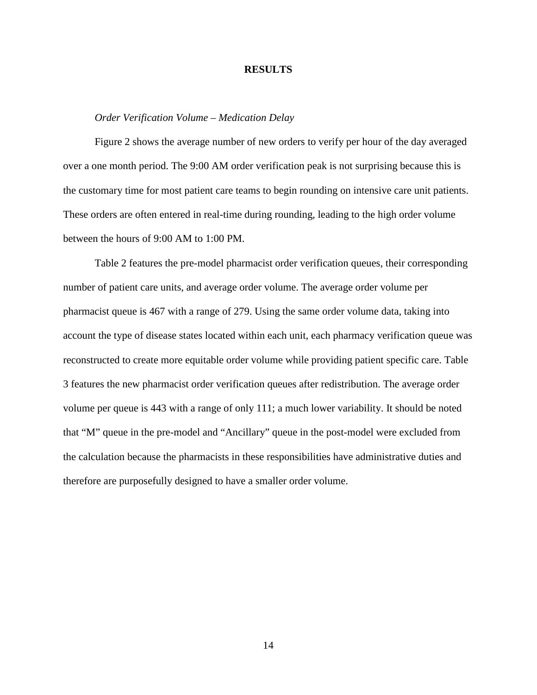#### **RESULTS**

### *Order Verification Volume – Medication Delay*

Figure 2 shows the average number of new orders to verify per hour of the day averaged over a one month period. The 9:00 AM order verification peak is not surprising because this is the customary time for most patient care teams to begin rounding on intensive care unit patients. These orders are often entered in real-time during rounding, leading to the high order volume between the hours of 9:00 AM to 1:00 PM.

Table 2 features the pre-model pharmacist order verification queues, their corresponding number of patient care units, and average order volume. The average order volume per pharmacist queue is 467 with a range of 279. Using the same order volume data, taking into account the type of disease states located within each unit, each pharmacy verification queue was reconstructed to create more equitable order volume while providing patient specific care. Table 3 features the new pharmacist order verification queues after redistribution. The average order volume per queue is 443 with a range of only 111; a much lower variability. It should be noted that "M" queue in the pre-model and "Ancillary" queue in the post-model were excluded from the calculation because the pharmacists in these responsibilities have administrative duties and therefore are purposefully designed to have a smaller order volume.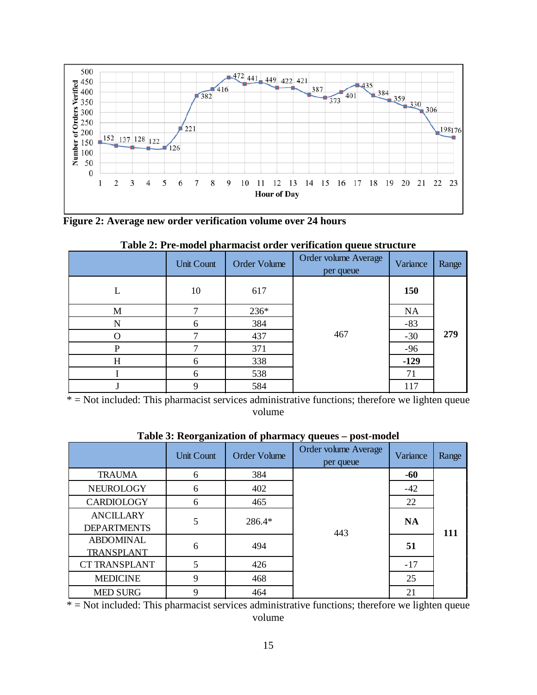

**Figure 2: Average new order verification volume over 24 hours**

|   | Unit Count | Order Volume | Order volume Average<br>per queue | Variance | Range |
|---|------------|--------------|-----------------------------------|----------|-------|
| L | 10         | 617          |                                   | 150      |       |
| M |            | 236*         |                                   | NA       |       |
| N | 6          | 384          |                                   | $-83$    |       |
| O |            | 437          | 467                               | $-30$    | 279   |
| P |            | 371          |                                   | $-96$    |       |
| H | 6          | 338          |                                   | $-129$   |       |
|   | 6          | 538          |                                   | 71       |       |
|   | 9          | 584          |                                   | 117      |       |

**Table 2: Pre-model pharmacist order verification queue structure**

\* = Not included: This pharmacist services administrative functions; therefore we lighten queue volume

|                      | Unit Count | <b>Order Volume</b> | Order volume Average<br>per queue | Variance  | Range |
|----------------------|------------|---------------------|-----------------------------------|-----------|-------|
| <b>TRAUMA</b>        | 6          | 384                 |                                   | -60       |       |
| NEUROLOGY            | 6          | 402                 |                                   | $-42$     |       |
| CARDIOLOGY           | 6          | 465                 |                                   | 22        |       |
| <b>ANCILLARY</b>     | 5          | 286.4*              |                                   | <b>NA</b> |       |
| <b>DEPARTMENTS</b>   |            |                     | 443                               |           | 111   |
| <b>ABDOMINAL</b>     | 6          | 494                 |                                   | 51        |       |
| TRANSPLANT           |            |                     |                                   |           |       |
| <b>CT TRANSPLANT</b> | 5          | 426                 |                                   | $-17$     |       |
| <b>MEDICINE</b>      | 9          | 468                 |                                   | 25        |       |
| <b>MED SURG</b>      | 9          | 464                 |                                   | 21        |       |

### **Table 3: Reorganization of pharmacy queues – post-model**

 $* = Not included$ : This pharmacist services administrative functions; therefore we lighten queue volume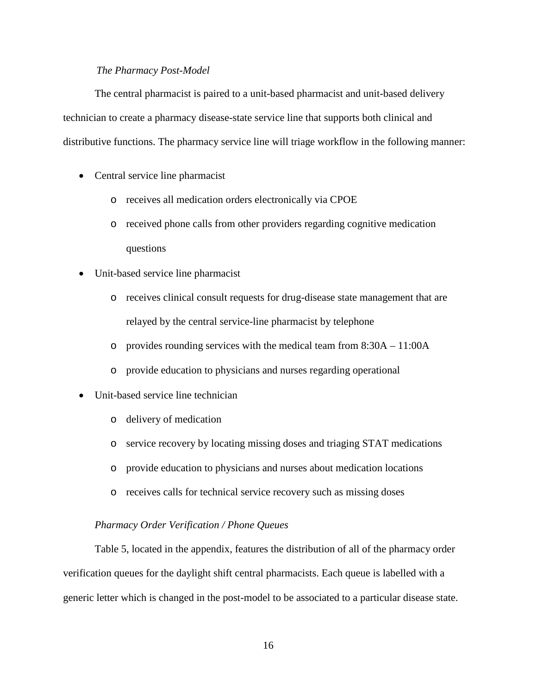### *The Pharmacy Post-Model*

The central pharmacist is paired to a unit-based pharmacist and unit-based delivery technician to create a pharmacy disease-state service line that supports both clinical and distributive functions. The pharmacy service line will triage workflow in the following manner:

- Central service line pharmacist
	- o receives all medication orders electronically via CPOE
	- o received phone calls from other providers regarding cognitive medication questions
- Unit-based service line pharmacist
	- o receives clinical consult requests for drug-disease state management that are relayed by the central service-line pharmacist by telephone
	- o provides rounding services with the medical team from 8:30A 11:00A
	- o provide education to physicians and nurses regarding operational
- Unit-based service line technician
	- o delivery of medication
	- o service recovery by locating missing doses and triaging STAT medications
	- o provide education to physicians and nurses about medication locations
	- o receives calls for technical service recovery such as missing doses

### *Pharmacy Order Verification / Phone Queues*

Table 5, located in the appendix, features the distribution of all of the pharmacy order verification queues for the daylight shift central pharmacists. Each queue is labelled with a generic letter which is changed in the post-model to be associated to a particular disease state.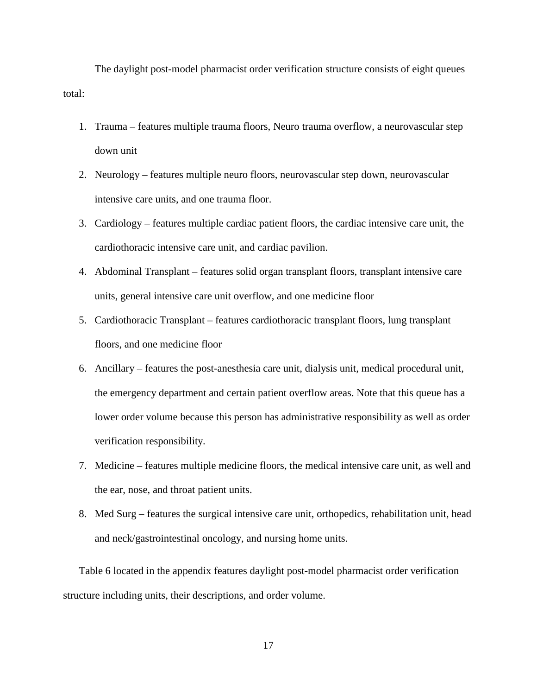The daylight post-model pharmacist order verification structure consists of eight queues total:

- 1. Trauma features multiple trauma floors, Neuro trauma overflow, a neurovascular step down unit
- 2. Neurology features multiple neuro floors, neurovascular step down, neurovascular intensive care units, and one trauma floor.
- 3. Cardiology features multiple cardiac patient floors, the cardiac intensive care unit, the cardiothoracic intensive care unit, and cardiac pavilion.
- 4. Abdominal Transplant features solid organ transplant floors, transplant intensive care units, general intensive care unit overflow, and one medicine floor
- 5. Cardiothoracic Transplant features cardiothoracic transplant floors, lung transplant floors, and one medicine floor
- 6. Ancillary features the post-anesthesia care unit, dialysis unit, medical procedural unit, the emergency department and certain patient overflow areas. Note that this queue has a lower order volume because this person has administrative responsibility as well as order verification responsibility.
- 7. Medicine features multiple medicine floors, the medical intensive care unit, as well and the ear, nose, and throat patient units.
- 8. Med Surg features the surgical intensive care unit, orthopedics, rehabilitation unit, head and neck/gastrointestinal oncology, and nursing home units.

Table 6 located in the appendix features daylight post-model pharmacist order verification structure including units, their descriptions, and order volume.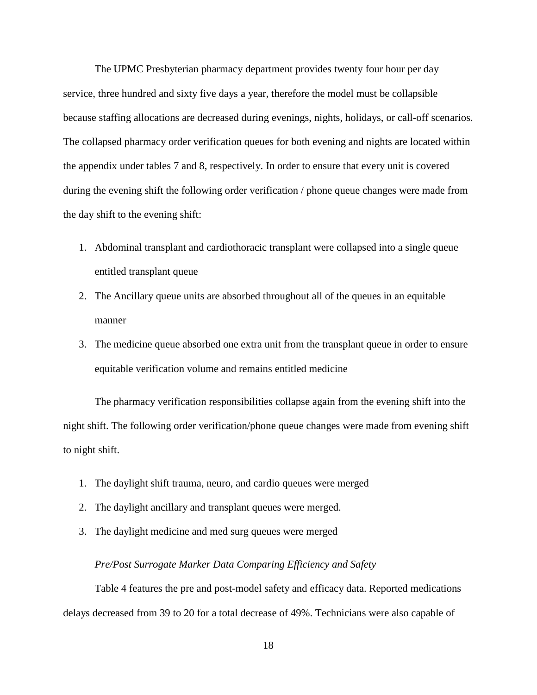The UPMC Presbyterian pharmacy department provides twenty four hour per day service, three hundred and sixty five days a year, therefore the model must be collapsible because staffing allocations are decreased during evenings, nights, holidays, or call-off scenarios. The collapsed pharmacy order verification queues for both evening and nights are located within the appendix under tables 7 and 8, respectively. In order to ensure that every unit is covered during the evening shift the following order verification / phone queue changes were made from the day shift to the evening shift:

- 1. Abdominal transplant and cardiothoracic transplant were collapsed into a single queue entitled transplant queue
- 2. The Ancillary queue units are absorbed throughout all of the queues in an equitable manner
- 3. The medicine queue absorbed one extra unit from the transplant queue in order to ensure equitable verification volume and remains entitled medicine

The pharmacy verification responsibilities collapse again from the evening shift into the night shift. The following order verification/phone queue changes were made from evening shift to night shift.

- 1. The daylight shift trauma, neuro, and cardio queues were merged
- 2. The daylight ancillary and transplant queues were merged.
- 3. The daylight medicine and med surg queues were merged

### *Pre/Post Surrogate Marker Data Comparing Efficiency and Safety*

Table 4 features the pre and post-model safety and efficacy data. Reported medications delays decreased from 39 to 20 for a total decrease of 49%. Technicians were also capable of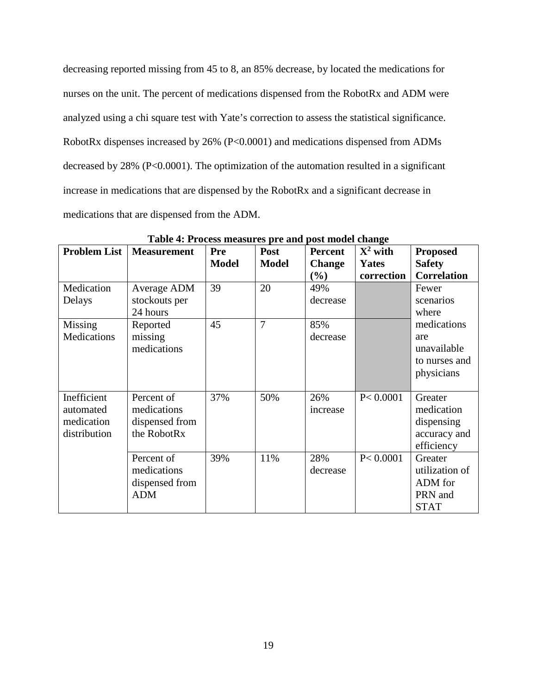decreasing reported missing from 45 to 8, an 85% decrease, by located the medications for nurses on the unit. The percent of medications dispensed from the RobotRx and ADM were analyzed using a chi square test with Yate's correction to assess the statistical significance. RobotRx dispenses increased by 26% (P<0.0001) and medications dispensed from ADMs decreased by 28% (P<0.0001). The optimization of the automation resulted in a significant increase in medications that are dispensed by the RobotRx and a significant decrease in medications that are dispensed from the ADM.

| <b>Problem List</b> | <b>Measurement</b> | Pre          | Post         | <b>Percent</b> | $X^2$ with | <b>Proposed</b>    |
|---------------------|--------------------|--------------|--------------|----------------|------------|--------------------|
|                     |                    | <b>Model</b> | <b>Model</b> | <b>Change</b>  | Yates      | <b>Safety</b>      |
|                     |                    |              |              | $(\%)$         | correction | <b>Correlation</b> |
| Medication          | Average ADM        | 39           | 20           | 49%            |            | Fewer              |
| Delays              | stockouts per      |              |              | decrease       |            | scenarios          |
|                     | 24 hours           |              |              |                |            | where              |
| Missing             | Reported           | 45           | 7            | 85%            |            | medications        |
| Medications         | missing            |              |              | decrease       |            | are                |
|                     | medications        |              |              |                |            | unavailable        |
|                     |                    |              |              |                |            | to nurses and      |
|                     |                    |              |              |                |            | physicians         |
|                     |                    |              |              |                |            |                    |
| Inefficient         | Percent of         | 37%          | 50%          | 26%            | P < 0.0001 | Greater            |
| automated           | medications        |              |              | increase       |            | medication         |
| medication          | dispensed from     |              |              |                |            | dispensing         |
| distribution        | the RobotRx        |              |              |                |            | accuracy and       |
|                     |                    |              |              |                |            | efficiency         |
|                     | Percent of         | 39%          | 11%          | 28%            | P < 0.0001 | Greater            |
|                     | medications        |              |              | decrease       |            | utilization of     |
|                     | dispensed from     |              |              |                |            | ADM for            |
|                     | <b>ADM</b>         |              |              |                |            | PRN and            |
|                     |                    |              |              |                |            | <b>STAT</b>        |

**Table 4: Process measures pre and post model change**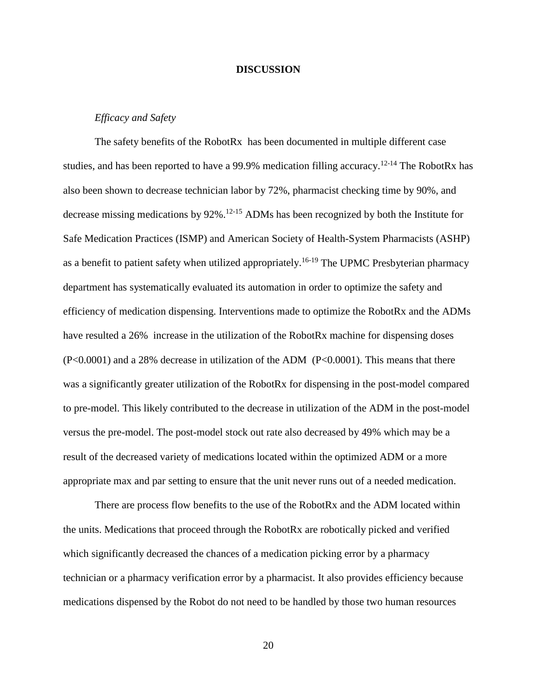### **DISCUSSION**

### *Efficacy and Safety*

The safety benefits of the RobotRx has been documented in multiple different case studies, and has been reported to have a 99.9% medication filling accuracy.<sup>12-14</sup> The RobotRx has also been shown to decrease technician labor by 72%, pharmacist checking time by 90%, and decrease missing medications by 92%.12-15 ADMs has been recognized by both the Institute for Safe Medication Practices (ISMP) and American Society of Health-System Pharmacists (ASHP) as a benefit to patient safety when utilized appropriately.<sup>16-19</sup> The UPMC Presbyterian pharmacy department has systematically evaluated its automation in order to optimize the safety and efficiency of medication dispensing. Interventions made to optimize the RobotRx and the ADMs have resulted a 26% increase in the utilization of the RobotRx machine for dispensing doses (P<0.0001) and a 28% decrease in utilization of the ADM (P<0.0001). This means that there was a significantly greater utilization of the RobotRx for dispensing in the post-model compared to pre-model. This likely contributed to the decrease in utilization of the ADM in the post-model versus the pre-model. The post-model stock out rate also decreased by 49% which may be a result of the decreased variety of medications located within the optimized ADM or a more appropriate max and par setting to ensure that the unit never runs out of a needed medication.

There are process flow benefits to the use of the RobotRx and the ADM located within the units. Medications that proceed through the RobotRx are robotically picked and verified which significantly decreased the chances of a medication picking error by a pharmacy technician or a pharmacy verification error by a pharmacist. It also provides efficiency because medications dispensed by the Robot do not need to be handled by those two human resources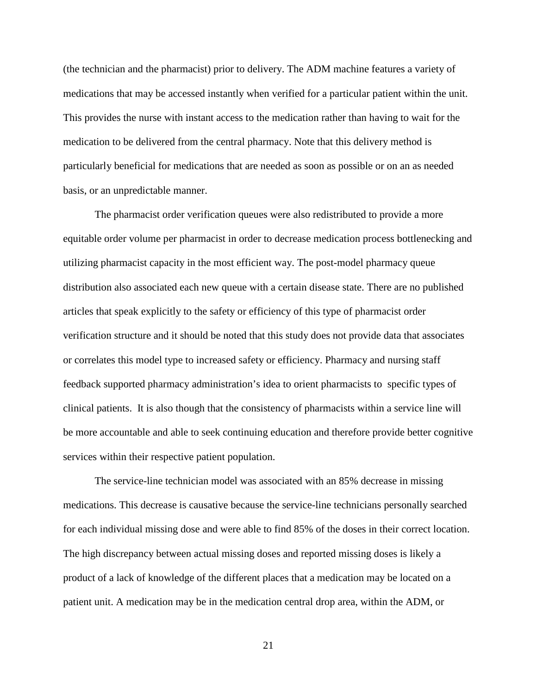(the technician and the pharmacist) prior to delivery. The ADM machine features a variety of medications that may be accessed instantly when verified for a particular patient within the unit. This provides the nurse with instant access to the medication rather than having to wait for the medication to be delivered from the central pharmacy. Note that this delivery method is particularly beneficial for medications that are needed as soon as possible or on an as needed basis, or an unpredictable manner.

The pharmacist order verification queues were also redistributed to provide a more equitable order volume per pharmacist in order to decrease medication process bottlenecking and utilizing pharmacist capacity in the most efficient way. The post-model pharmacy queue distribution also associated each new queue with a certain disease state. There are no published articles that speak explicitly to the safety or efficiency of this type of pharmacist order verification structure and it should be noted that this study does not provide data that associates or correlates this model type to increased safety or efficiency. Pharmacy and nursing staff feedback supported pharmacy administration's idea to orient pharmacists to specific types of clinical patients. It is also though that the consistency of pharmacists within a service line will be more accountable and able to seek continuing education and therefore provide better cognitive services within their respective patient population.

The service-line technician model was associated with an 85% decrease in missing medications. This decrease is causative because the service-line technicians personally searched for each individual missing dose and were able to find 85% of the doses in their correct location. The high discrepancy between actual missing doses and reported missing doses is likely a product of a lack of knowledge of the different places that a medication may be located on a patient unit. A medication may be in the medication central drop area, within the ADM, or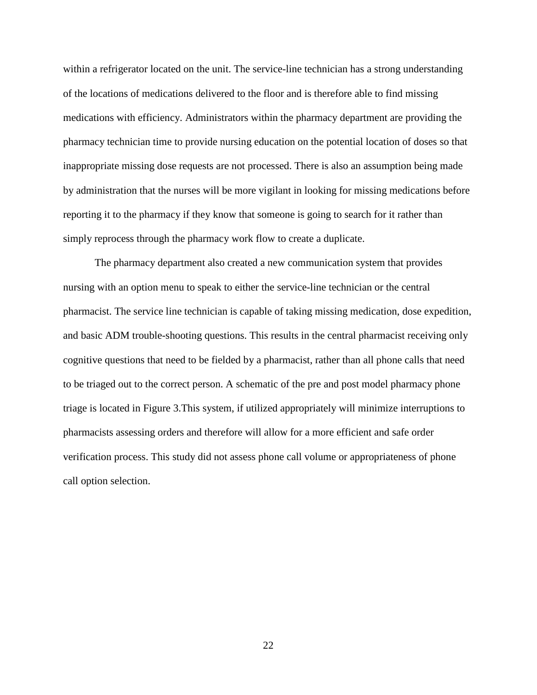within a refrigerator located on the unit. The service-line technician has a strong understanding of the locations of medications delivered to the floor and is therefore able to find missing medications with efficiency. Administrators within the pharmacy department are providing the pharmacy technician time to provide nursing education on the potential location of doses so that inappropriate missing dose requests are not processed. There is also an assumption being made by administration that the nurses will be more vigilant in looking for missing medications before reporting it to the pharmacy if they know that someone is going to search for it rather than simply reprocess through the pharmacy work flow to create a duplicate.

The pharmacy department also created a new communication system that provides nursing with an option menu to speak to either the service-line technician or the central pharmacist. The service line technician is capable of taking missing medication, dose expedition, and basic ADM trouble-shooting questions. This results in the central pharmacist receiving only cognitive questions that need to be fielded by a pharmacist, rather than all phone calls that need to be triaged out to the correct person. A schematic of the pre and post model pharmacy phone triage is located in Figure 3.This system, if utilized appropriately will minimize interruptions to pharmacists assessing orders and therefore will allow for a more efficient and safe order verification process. This study did not assess phone call volume or appropriateness of phone call option selection.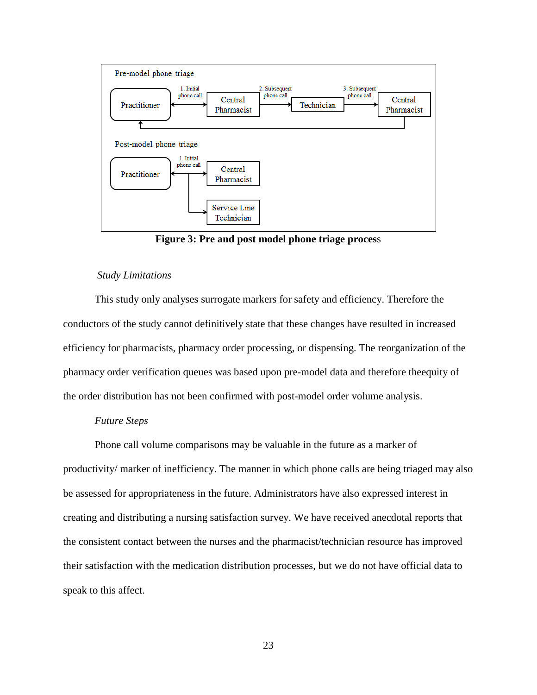

**Figure 3: Pre and post model phone triage proces**s

#### *Study Limitations*

This study only analyses surrogate markers for safety and efficiency. Therefore the conductors of the study cannot definitively state that these changes have resulted in increased efficiency for pharmacists, pharmacy order processing, or dispensing. The reorganization of the pharmacy order verification queues was based upon pre-model data and therefore theequity of the order distribution has not been confirmed with post-model order volume analysis.

### *Future Steps*

Phone call volume comparisons may be valuable in the future as a marker of productivity/ marker of inefficiency. The manner in which phone calls are being triaged may also be assessed for appropriateness in the future. Administrators have also expressed interest in creating and distributing a nursing satisfaction survey. We have received anecdotal reports that the consistent contact between the nurses and the pharmacist/technician resource has improved their satisfaction with the medication distribution processes, but we do not have official data to speak to this affect.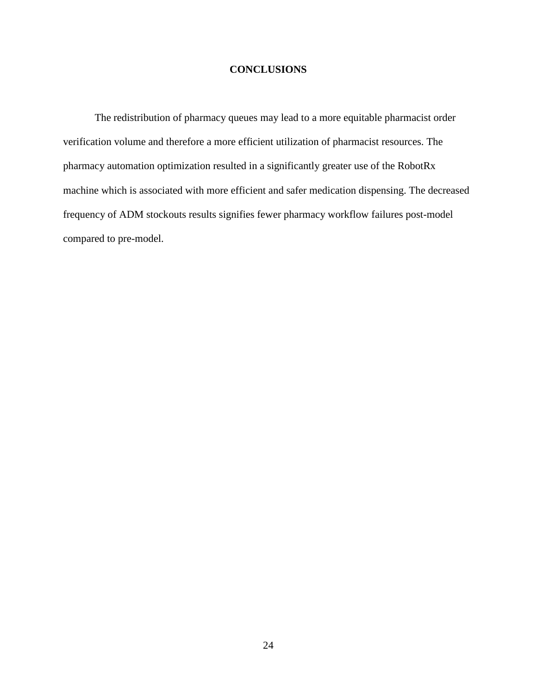### **CONCLUSIONS**

The redistribution of pharmacy queues may lead to a more equitable pharmacist order verification volume and therefore a more efficient utilization of pharmacist resources. The pharmacy automation optimization resulted in a significantly greater use of the RobotRx machine which is associated with more efficient and safer medication dispensing. The decreased frequency of ADM stockouts results signifies fewer pharmacy workflow failures post-model compared to pre-model.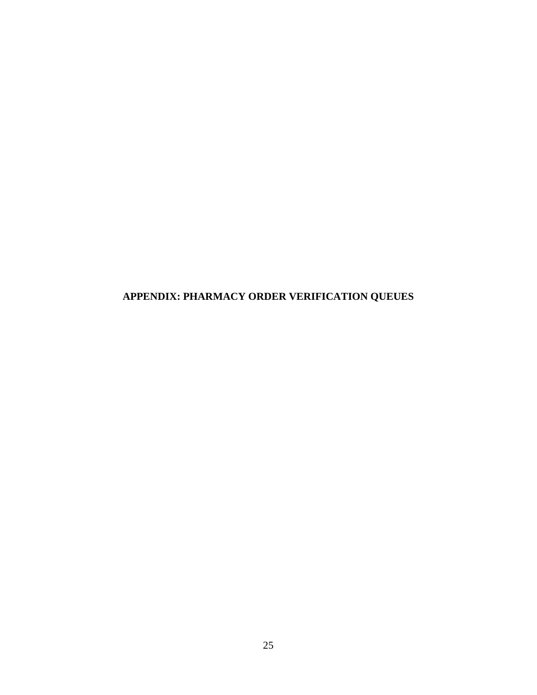**APPENDIX: PHARMACY ORDER VERIFICATION QUEUES**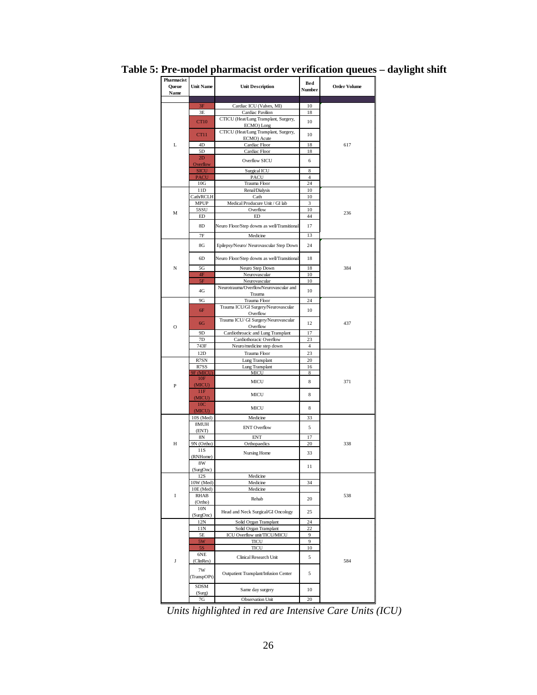| Pharmacist<br>Queue<br>Name | <b>Unit Name</b> | <b>Unit Description</b>                     | Bed<br>Number  | <b>Order Volume</b> |
|-----------------------------|------------------|---------------------------------------------|----------------|---------------------|
|                             | 3F               |                                             | 10             |                     |
|                             |                  | Cardiac ICU (Valves, MI)                    |                |                     |
|                             | 3E               | Cardiac Pavilion                            | 18             |                     |
|                             | <b>CT10</b>      | CTICU (Heat/Lung Transplant, Surgery,       | 10             |                     |
|                             |                  | ECMO) Long                                  |                |                     |
|                             | CT11             | CTICU (Heat/Lung Transplant, Surgery,       | 10             |                     |
|                             |                  | ECMO) Acute                                 |                |                     |
| L                           | 4D               | Cardiac Floor                               | 18             | 617                 |
|                             | 5D               | Cardiac Floor                               | 18             |                     |
|                             | 2D               | Overflow SICU                               | 6              |                     |
|                             | Overflow         |                                             |                |                     |
|                             | <b>SICU</b>      | Surgical ICU                                | 8              |                     |
|                             | <b>PACU</b>      | PACU                                        | $\overline{4}$ |                     |
|                             | 10G              | Trauma Floor                                | 24             |                     |
|                             | 11D              | Renal/Dialysis                              | 10             |                     |
|                             | Cath/RCLH        | Cath                                        | 10             |                     |
|                             |                  | Medical Producure Unit / GI lab             |                |                     |
|                             | <b>MPUP</b>      |                                             | 3              |                     |
| M                           | 5SSU             | Overflow                                    | 10             | 236                 |
|                             | ED               | ED                                          | 44             |                     |
|                             | 8D               | Neuro Floor/Step downs as well/Transitional | 17             |                     |
|                             |                  |                                             |                |                     |
|                             | 7F               | Medicine                                    | 13             |                     |
|                             |                  |                                             |                |                     |
|                             | 8G               | Epilepsy/Neuro/ Neurovascular Step Down     | 24             |                     |
|                             |                  |                                             |                |                     |
|                             | 6D               | Neuro Floor/Step downs as well/Transitional | 18             |                     |
|                             |                  |                                             |                |                     |
| N                           | 5G               | Neuro Step Down                             | 18             | 384                 |
|                             | 4F               | Neurovascular                               | 10             |                     |
|                             | 5F               | Neurovascular                               | 10             |                     |
|                             |                  | Neurotrauma/OverflowNeurovascular and       |                |                     |
|                             | 4G               | Trauma                                      | 10             |                     |
|                             | 9G               | Trauma Floor                                | 24             |                     |
|                             |                  |                                             |                |                     |
|                             | 6F               | Trauma ICU/GI Surgery/Neurovascular         | 10             |                     |
|                             |                  | Overflow                                    |                |                     |
|                             | 6G               | Trauma ICU/ GI Surgery/Neurovascular        | 12             | 437                 |
| $\circ$                     |                  | Overflow                                    |                |                     |
|                             | 9D               | Cardiothroacic and Lung Transplant          | 17             |                     |
|                             | 7D               | Cardiothoracic Overflow                     | 23             |                     |
|                             | 743F             | Neuro/medicine step down                    | 4              |                     |
|                             | 12D              | Trauma Floor                                | 23             |                     |
|                             |                  |                                             |                |                     |
|                             | R7SN             | Lung Transplant                             | 20             |                     |
|                             | R7SS             | Lung Transplant                             | 16             |                     |
|                             | 9F (MICU)        | <b>MICU</b>                                 | 8              |                     |
|                             | 10F              | MICU                                        | 8              | 371                 |
| P                           | (MICU)           |                                             |                |                     |
|                             | 11F              |                                             |                |                     |
|                             | (MICU)           | MICU                                        | 8              |                     |
|                             | 10C              |                                             |                |                     |
|                             | (MICU)           | MICU                                        | 8              |                     |
|                             |                  |                                             |                |                     |
|                             | 10S (Med)        | Medicine                                    | 33             |                     |
|                             | 8MUH             | <b>ENT</b> Overflow                         | 5              |                     |
|                             | (ENT)            |                                             |                |                     |
|                             | 8N               | <b>ENT</b>                                  | 17             |                     |
| Н                           | 9N (Ortho)       | Orthopaedics                                | 20             | 338                 |
|                             | 11S              |                                             |                |                     |
|                             | (RNHome)         | Nursing Home                                | 33             |                     |
|                             | 8W               |                                             |                |                     |
|                             |                  |                                             | 11             |                     |
|                             | (SurgOnc)        |                                             |                |                     |
|                             | 12S              | Medicine                                    |                |                     |
|                             | 10W (Med)        | Medicine                                    | 34             |                     |
|                             | 10E (Med)        | Medicine                                    |                |                     |
| I                           | <b>RHAB</b>      | Rehab                                       |                | 538                 |
|                             | (Ortho)          |                                             | 20             |                     |
|                             | 10N              |                                             |                |                     |
|                             | (SurgOnc)        | Head and Neck Surgical/GI Oncology          | 25             |                     |
|                             |                  |                                             |                |                     |
|                             | 12N              | Solid Organ Transplant                      | 24             |                     |
|                             | 11N              | Solid Organ Transplant                      | 22             |                     |
|                             | 5Ε               | ICU Overflow unit/TICU/MICU                 | 9              |                     |
|                             | 5W               | TICU                                        | 9              |                     |
|                             | 5S               | <b>TICU</b>                                 | 10             |                     |
|                             | 6NE              |                                             |                |                     |
| J                           |                  | Clinical Research Unit                      | 5              | 584                 |
|                             | (ClinRes)        |                                             |                |                     |
|                             | 7W               |                                             |                |                     |
|                             | (TranspOPt)      | Outpatient Transplant/Infusion Center       | 5              |                     |
|                             |                  |                                             |                |                     |
|                             | <b>SDSM</b>      |                                             |                |                     |
|                             | (Surg)           | Same day surgery                            | 10             |                     |
|                             | 7G               | <b>Observation Unit</b>                     | 20             |                     |
|                             |                  |                                             |                |                     |

**Table 5: Pre-model pharmacist order verification queues – daylight shift**

*Units highlighted in red are Intensive Care Units (ICU)*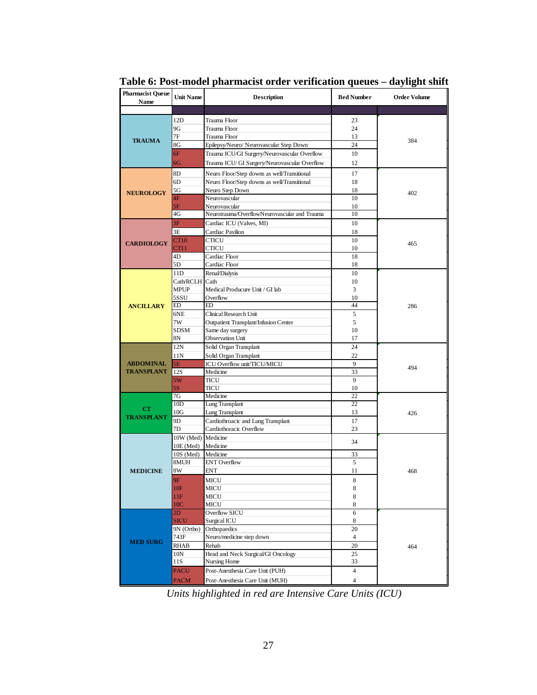| <b>Pharmacist Queue</b><br>Name | <b>Unit Name</b>       | <b>Description</b>                                               | <b>Bed Number</b> | <b>Order Volume</b> |
|---------------------------------|------------------------|------------------------------------------------------------------|-------------------|---------------------|
|                                 |                        |                                                                  |                   |                     |
|                                 | 12D                    | Trauma Floor                                                     | 23                |                     |
|                                 | 9G                     | Trauma Floor                                                     | 24                |                     |
| <b>TRAUMA</b>                   | 7Ε                     | Trauma Floor                                                     | 13                | 384                 |
|                                 | 8G                     | Epilepsy/Neuro/ Neurovascular Step Down                          | 24                |                     |
|                                 | 6F                     | Trauma ICU/GI Surgery/Neurovascular Overflow                     | 10                |                     |
|                                 | 6G                     | Trauma ICU/ GI Surgery/Neurovascular Overflow                    | 12                |                     |
|                                 | 8D                     | Neuro Floor/Step downs as well/Transitional                      | 17                |                     |
|                                 | 6D                     | Neuro Floor/Step downs as well/Transitional                      | 18                |                     |
| <b>NEUROLOGY</b>                | 5G                     | Neuro Step Down                                                  | 18                | 402                 |
|                                 | 4F                     | Neurovascular                                                    | 10                |                     |
|                                 | 5F                     | Neurovascular                                                    | 10                |                     |
|                                 | 4G                     | Neurotrauma/OverflowNeurovascular and Trauma                     | 10                |                     |
|                                 | 3F                     | Cardiac ICU (Valves, MI)                                         | 10                |                     |
|                                 | 3E                     | Cardiac Pavilion                                                 | 18                |                     |
| <b>CARDIOLOGY</b>               | CT <sub>10</sub>       | <b>CTICU</b>                                                     | 10                | 465                 |
|                                 | CT11                   | CTICU                                                            | 10                |                     |
|                                 | 4D                     | Cardiac Floor                                                    | 18                |                     |
|                                 | 5D                     | Cardiac Floor                                                    | 18                |                     |
|                                 | 11D                    | Renal/Dialysis                                                   | 10                |                     |
|                                 | Cath/RCLH Cath         |                                                                  | 10                |                     |
|                                 | <b>MPUP</b>            | Medical Producure Unit / GI lab                                  | 3                 |                     |
|                                 | 5SSU<br>ED             | Overflow<br>$\overline{ED}$                                      | 10<br>44          |                     |
| <b>ANCILLARY</b>                | 6NE                    |                                                                  |                   | 286                 |
|                                 | 7W                     | Clinical Research Unit                                           | 5<br>5            |                     |
|                                 | <b>SDSM</b>            | <b>Outpatient Transplant/Infusion Center</b><br>Same day surgery | 10                |                     |
|                                 | 8N                     | <b>Observation Unit</b>                                          | 17                |                     |
|                                 | 12N                    | Solid Organ Transplant                                           | 24                |                     |
|                                 | 11N                    | Solid Organ Transplant                                           | 22                |                     |
| <b>ABDOMINAL</b>                | 5E                     | ICU Overflow unit/TICU/MICU                                      | 9                 |                     |
| <b>TRANSPLANT</b>               | 12S                    | Medicine                                                         | 33                | 494                 |
|                                 | 5W                     | TICU                                                             | $\mathbf Q$       |                     |
|                                 | 5S                     | <b>TICU</b>                                                      | 10                |                     |
|                                 | 7G                     | Medicine                                                         | 22                |                     |
|                                 | 10D                    | Lung Transplant                                                  | 22                |                     |
| CT<br><b>TRANSPLANT</b>         | $10\mathrm{G}$         | Lung Transplant                                                  | 13                | 426                 |
|                                 | 9D                     | Cardiothroacic and Lung Transplant                               | 17                |                     |
|                                 | 7D                     | Cardiothoracic Overflow                                          | 23                |                     |
|                                 | 10W (Med) Medicine     |                                                                  | 34                |                     |
|                                 | $10E$ (Med)            | Medicine                                                         |                   |                     |
|                                 | 10S (Med)              | Medicine                                                         | 33                |                     |
|                                 | 8MUH                   | <b>ENT</b> Overflow                                              | 5                 |                     |
| <b>MEDICINE</b>                 | 8W                     | ENT                                                              | 11                | 468                 |
|                                 | 9F                     | <b>MICU</b>                                                      | 8                 |                     |
|                                 | 10F                    | MICU                                                             | 8                 |                     |
|                                 | 11F<br>10 <sub>C</sub> | MICU                                                             | 8                 |                     |
|                                 | 2 <sub>D</sub>         | MICU<br><b>Overflow SICU</b>                                     | 8<br>6            |                     |
|                                 | <b>SICU</b>            | Surgical ICU                                                     | 8                 |                     |
|                                 | 9N (Ortho)             | Orthopaedics                                                     | 20                |                     |
|                                 | 743F                   | Neuro/medicine step down                                         | $\overline{4}$    |                     |
| <b>MED SURG</b>                 | <b>RHAB</b>            | Rehab                                                            | 20                | 464                 |
|                                 | 10N                    | Head and Neck Surgical/GI Oncology                               | 25                |                     |
|                                 | 11S                    | Nursing Home                                                     | 33                |                     |
|                                 | <b>PACU</b>            | Post-Anesthesia Care Unit (PUH)                                  | $\overline{4}$    |                     |
|                                 | <b>PACM</b>            | Post-Anesthesia Care Unit (MUH)                                  | 4                 |                     |
|                                 |                        |                                                                  |                   |                     |

**Table 6: Post-model pharmacist order verification queues – daylight shift**

*Units highlighted in red are Intensive Care Units (ICU)*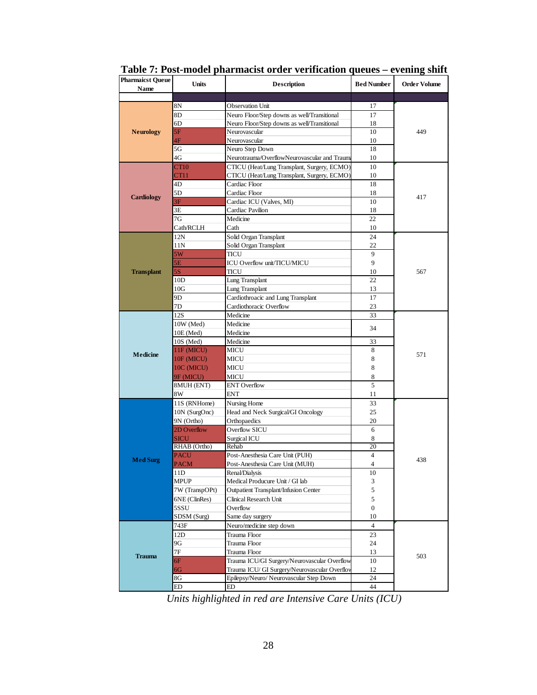| Pharmaicst Queue<br>Name | <b>Units</b>   | <b>Description</b>                            | <b>Bed Number</b> | Order Volume |
|--------------------------|----------------|-----------------------------------------------|-------------------|--------------|
|                          |                |                                               |                   |              |
|                          | 8Ν             | <b>Observation Unit</b>                       | 17                |              |
|                          | 8D             | Neuro Floor/Step downs as well/Transitional   | 17                |              |
|                          | 6D             | Neuro Floor/Step downs as well/Transitional   | 18                |              |
| <b>Neurology</b>         | 5F             | Neurovascular                                 | 10                | 449          |
|                          | 4F             | Neurovascular                                 | 10                |              |
|                          | 5G             | Neuro Step Down                               | 18                |              |
|                          | 4G             | Neurotrauma/OverflowNeurovascular and Traum   | 10                |              |
|                          | CT10           | CTICU (Heat/Lung Transplant, Surgery, ECMO)   | 10                |              |
|                          | CT11           | CTICU (Heat/Lung Transplant, Surgery, ECMO)   | 10                |              |
|                          | 4D             | Cardiac Floor                                 | 18                |              |
|                          | 5D             | Cardiac Floor                                 | 18                |              |
| <b>Cardiology</b>        | 3F             | Cardiac ICU (Valves, MI)                      | 10                | 417          |
|                          | 3E             | Cardiac Pavilion                              | 18                |              |
|                          | 7G             | Medicine                                      | 22                |              |
|                          | Cath/RCLH      | Cath                                          | 10                |              |
|                          | 12N            | Solid Organ Transplant                        | 24                |              |
|                          | 11N            | Solid Organ Transplant                        | 22                |              |
|                          | 5W             | TICU                                          | 9                 |              |
|                          | 5E             | ICU Overflow unit/TICU/MICU                   | 9                 |              |
| <b>Transplant</b>        | 5S             | <b>TICU</b>                                   | 10                | 567          |
|                          | 10D            | Lung Transplant                               | 22                |              |
|                          | 10G            | Lung Transplant                               | 13                |              |
|                          | 9D             | Cardiothroacic and Lung Transplant            | 17                |              |
|                          | 7D             | Cardiothoracic Overflow                       | 23                |              |
|                          | 12S            | Medicine                                      | 33                |              |
|                          | 10W (Med)      | Medicine                                      | 34                |              |
|                          | $10E$ (Med)    | Medicine                                      |                   |              |
|                          | 10S (Med)      | Medicine                                      | 33                |              |
| <b>Medicine</b>          | 11F (MICU)     | MICU                                          | 8                 | 571          |
|                          | 10F (MICU)     | <b>MICU</b>                                   | 8                 |              |
|                          | 10C (MICU)     | MICU                                          | 8                 |              |
|                          | 9F (MICU)      | MICU                                          | $\,$ 8 $\,$       |              |
|                          | 8MUH (ENT)     | <b>ENT</b> Overflow                           | 5                 |              |
|                          | 8W             | <b>ENT</b>                                    | 11                |              |
|                          | 11S (RNHome)   | Nursing Home                                  | 33                |              |
|                          | 10N (SurgOnc)  | Head and Neck Surgical/GI Oncology            | 25                |              |
|                          | 9N (Ortho)     | Orthopaedics                                  | 20                |              |
|                          | 2D Overflow    | Overflow SICU                                 | 6                 |              |
|                          | <b>SICU</b>    | Surgical ICU                                  | 8                 |              |
|                          | RHAB (Ortho)   | Rehab                                         | 20                |              |
| <b>Med Surg</b>          | <b>PACU</b>    | Post-Anesthesia Care Unit (PUH)               | $\overline{4}$    | 438          |
|                          | <b>PACM</b>    | Post-Anesthesia Care Unit (MUH)               | 4                 |              |
|                          | ПD             | Renal/Dialysis                                | $10\,$            |              |
|                          | <b>MPUP</b>    | Medical Producure Unit / GI lab               | 3                 |              |
|                          | 7W (TranspOPt) | <b>Outpatient Transplant/Infusion Center</b>  | 5                 |              |
|                          | 6NE (ClinRes)  | Clinical Research Unit                        | 5                 |              |
|                          | 5SSU           | Overflow                                      | $\boldsymbol{0}$  |              |
|                          | SDSM (Surg)    | Same day surgery                              | 10                |              |
|                          | 743F           | Neuro/medicine step down                      | $\overline{4}$    |              |
|                          | 12D            | Trauma Floor                                  | 23                |              |
|                          | 9G             | Trauma Floor                                  | 24                |              |
| <b>Trauma</b>            | 7Ε             | Trauma Floor                                  | 13                | 503          |
|                          | 6F             | Trauma ICU/GI Surgery/Neurovascular Overflow  | 10                |              |
|                          | $6\mathrm{G}$  | Trauma ICU/ GI Surgery/Neurovascular Overflov | 12                |              |
|                          | 8G             | Epilepsy/Neuro/ Neurovascular Step Down       | 24<br>44          |              |
|                          | ED             | ED                                            |                   |              |

**Table 7: Post-model pharmacist order verification queues – evening shift**

*Units highlighted in red are Intensive Care Units (ICU)*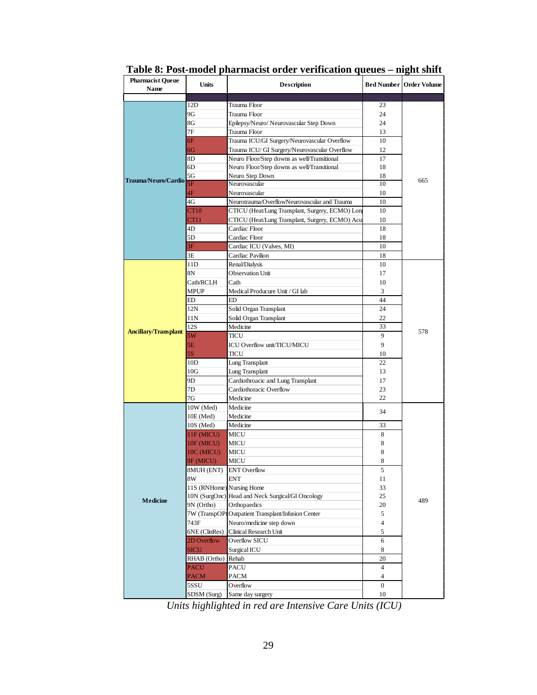| <b>Pharmacist Queue</b><br>Name | <b>Units</b>              | <b>Description</b>                                  |                  | <b>Bed Number   Order Volume</b> |
|---------------------------------|---------------------------|-----------------------------------------------------|------------------|----------------------------------|
|                                 |                           |                                                     |                  |                                  |
|                                 | 12D                       | Trauma Floor                                        | 23               |                                  |
|                                 | 9G                        | Trauma Floor                                        | 24               |                                  |
|                                 | 8G                        | Epilepsy/Neuro/ Neurovascular Step Down             | 24               |                                  |
|                                 | 7Ε                        | Trauma Floor                                        | 13               |                                  |
|                                 | 6F                        | Trauma ICU/GI Surgery/Neurovascular Overflow        | 10               |                                  |
|                                 | 6G                        | Trauma ICU/ GI Surgery/Neurovascular Overflow       | 12               |                                  |
|                                 | 8D                        | Neuro Floor/Step downs as well/Transitional         | 17               |                                  |
|                                 | 6D                        | Neuro Floor/Step downs as well/Transitional         | 18               |                                  |
| Trauma/Neuro/Cardio             | 5G                        | Neuro Step Down                                     | 18               | 665                              |
|                                 | 5F                        | Neurovascular                                       | 10               |                                  |
|                                 | 4F                        | Neurovascular                                       | 10               |                                  |
|                                 | 4G                        | Neurotrauma/OverflowNeurovascular and Trauma        | 10               |                                  |
|                                 | <b>CT10</b>               | CTICU (Heat/Lung Transplant, Surgery, ECMO) Long    | 10               |                                  |
|                                 | CT11                      | CTICU (Heat/Lung Transplant, Surgery, ECMO) Acu     | 10               |                                  |
|                                 | 4D                        | Cardiac Floor                                       | 18               |                                  |
|                                 | 5D                        | Cardiac Floor                                       | 18               |                                  |
|                                 | 3F                        | Cardiac ICU (Valves, MI)                            | 10               |                                  |
|                                 | 3E                        | Cardiac Pavilion                                    | 18               |                                  |
|                                 | 11D                       | Renal/Dialysis                                      | 10               |                                  |
|                                 | 8N                        | <b>Observation Unit</b>                             | 17               |                                  |
|                                 | Cath/RCLH                 | Cath                                                | 10               |                                  |
|                                 | <b>MPUP</b>               | Medical Producure Unit / GI lab                     | 3                |                                  |
|                                 | ED                        | ED                                                  | 44               |                                  |
|                                 | 12N                       | Solid Organ Transplant                              | 24               | 578                              |
|                                 | 11N                       | Solid Organ Transplant                              | 22               |                                  |
| <b>Ancillary/Transplant</b>     | 12S                       | Medicine                                            | 33               |                                  |
|                                 | 5W                        | TICU                                                | 9                |                                  |
|                                 | 5E                        | ICU Overflow unit/TICU/MICU                         | 9                |                                  |
|                                 | 5S                        | <b>TICU</b>                                         | 10               |                                  |
|                                 | 10D                       | Lung Transplant                                     | 22               |                                  |
|                                 | 10G                       | Lung Transplant                                     | 13               |                                  |
|                                 | 9D                        | Cardiothroacic and Lung Transplant                  | 17               |                                  |
|                                 | 7D                        | Cardiothoracic Overflow                             | 23               |                                  |
|                                 | 7G                        | Medicine                                            | 22               |                                  |
|                                 | 10W (Med)                 | Medicine                                            | 34               |                                  |
|                                 | 10E (Med)                 | Medicine                                            |                  |                                  |
|                                 | $10S$ (Med)               | Medicine                                            | 33               |                                  |
|                                 | 11F (MICU)                | MICU                                                | 8                |                                  |
|                                 | 10F (MICU)                | <b>MICU</b>                                         | 8                |                                  |
|                                 | 10C (MICU)                | <b>MICU</b>                                         | 8                |                                  |
|                                 | 9F (MICU)                 | MICU                                                | 8                |                                  |
|                                 | 8MUH (ENT) ENT Overflow   |                                                     | 5                |                                  |
|                                 | 8W                        | <b>ENT</b>                                          | 11               |                                  |
|                                 | 11S (RNHome) Nursing Home |                                                     | 33               |                                  |
| <b>Medicine</b>                 | 10N (SurgOnc)             | Head and Neck Surgical/GI Oncology                  | 25               | 489                              |
|                                 | 9N (Ortho)                | Orthopaedics                                        | 20               |                                  |
|                                 |                           | 7W (TranspOPt Outpatient Transplant/Infusion Center | 5                |                                  |
|                                 | 743F                      | Neuro/medicine step down                            | 4                |                                  |
|                                 | 6NE (ClinRes)             | Clinical Research Unit                              | 5                |                                  |
|                                 | 2D Overflow               | Overflow SICU                                       | 6                |                                  |
|                                 | <b>SICU</b>               | Surgical ICU                                        | 8                |                                  |
|                                 | RHAB (Ortho)              | Rehab                                               | 20               |                                  |
|                                 | <b>PACU</b>               | <b>PACU</b>                                         | $\overline{4}$   |                                  |
|                                 | <b>PACM</b>               | <b>PACM</b>                                         | $\overline{4}$   |                                  |
|                                 | 5SSU                      | Overflow                                            | $\boldsymbol{0}$ |                                  |
|                                 | SDSM (Surg)               | Same day surgery                                    | 10               |                                  |

**Table 8: Post-model pharmacist order verification queues – night shift**

*Units highlighted in red are Intensive Care Units (ICU)*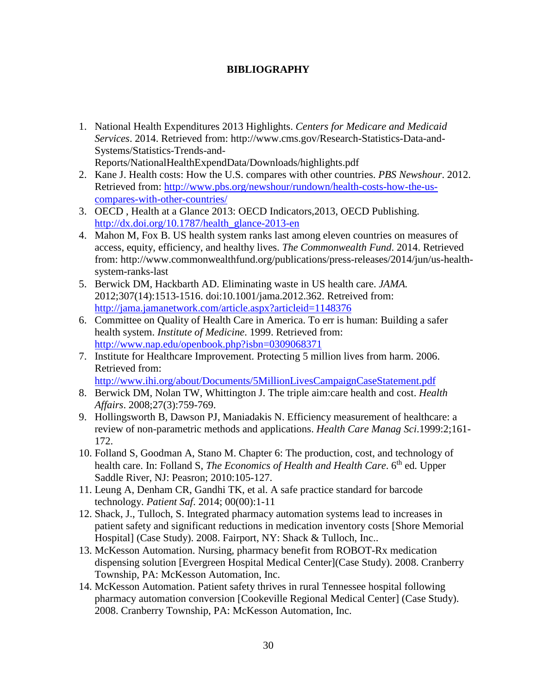### **BIBLIOGRAPHY**

- 1. National Health Expenditures 2013 Highlights. *Centers for Medicare and Medicaid Services*. 2014. Retrieved from: http://www.cms.gov/Research-Statistics-Data-and-Systems/Statistics-Trends-and-Reports/NationalHealthExpendData/Downloads/highlights.pdf
- 2. Kane J. Health costs: How the U.S. compares with other countries. *PBS Newshour*. 2012. Retrieved from: [http://www.pbs.org/newshour/rundown/health-costs-how-the-us](http://www.pbs.org/newshour/rundown/health-costs-how-the-us-compares-with-other-countries/)[compares-with-other-countries/](http://www.pbs.org/newshour/rundown/health-costs-how-the-us-compares-with-other-countries/)
- 3. OECD , Health at a Glance 2013: OECD Indicators,2013, OECD Publishing. [http://dx.doi.org/10.1787/health\\_glance-2013-en](http://dx.doi.org/10.1787/health_glance-2013-en)
- 4. Mahon M, Fox B. US health system ranks last among eleven countries on measures of access, equity, efficiency, and healthy lives. *The Commonwealth Fund*. 2014. Retrieved from: http://www.commonwealthfund.org/publications/press-releases/2014/jun/us-healthsystem-ranks-last
- 5. Berwick DM, Hackbarth AD. Eliminating waste in US health care. *JAMA.* 2012;307(14):1513-1516. doi:10.1001/jama.2012.362. Retreived from: <http://jama.jamanetwork.com/article.aspx?articleid=1148376>
- 6. Committee on Quality of Health Care in America. To err is human: Building a safer health system. *Institute of Medicine*. 1999. Retrieved from: <http://www.nap.edu/openbook.php?isbn=0309068371>
- 7. Institute for Healthcare Improvement. Protecting 5 million lives from harm. 2006. Retrieved from:

<http://www.ihi.org/about/Documents/5MillionLivesCampaignCaseStatement.pdf>

- 8. Berwick DM, Nolan TW, Whittington J. The triple aim:care health and cost. *Health Affairs*. 2008;27(3):759-769.
- 9. Hollingsworth B, Dawson PJ, Maniadakis N. Efficiency measurement of healthcare: a review of non-parametric methods and applications. *Health Care Manag Sci*.1999:2;161- 172.
- 10. Folland S, Goodman A, Stano M. Chapter 6: The production, cost, and technology of health care. In: Folland S, *The Economics of Health and Health Care*. 6<sup>th</sup> ed. Upper Saddle River, NJ: Peasron; 2010:105-127.
- 11. Leung A, Denham CR, Gandhi TK, et al. A safe practice standard for barcode technology. *Patient Saf*. 2014; 00(00):1-11
- 12. Shack, J., Tulloch, S. Integrated pharmacy automation systems lead to increases in patient safety and significant reductions in medication inventory costs [Shore Memorial Hospital] (Case Study). 2008. Fairport, NY: Shack & Tulloch, Inc..
- 13. McKesson Automation. Nursing, pharmacy benefit from ROBOT-Rx medication dispensing solution [Evergreen Hospital Medical Center](Case Study). 2008. Cranberry Township, PA: McKesson Automation, Inc.
- 14. McKesson Automation. Patient safety thrives in rural Tennessee hospital following pharmacy automation conversion [Cookeville Regional Medical Center] (Case Study). 2008. Cranberry Township, PA: McKesson Automation, Inc.